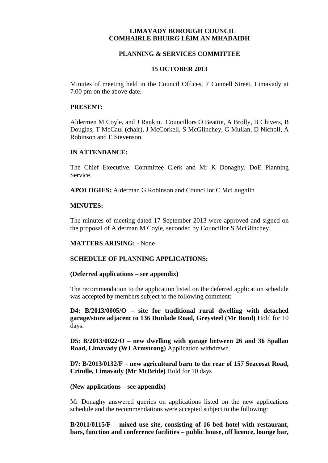# **LIMAVADY BOROUGH COUNCIL COMHAIRLE BHUIRG LÉIM AN MHADAIDH**

## **PLANNING & SERVICES COMMITTEE**

## **15 OCTOBER 2013**

Minutes of meeting held in the Council Offices, 7 Connell Street, Limavady at 7.00 pm on the above date.

### **PRESENT:**

Aldermen M Coyle, and J Rankin. Councillors O Beattie, A Brolly, B Chivers, B Douglas, T McCaul (chair), J McCorkell, S McGlinchey, G Mullan, D Nicholl, A Robinson and E Stevenson.

## **IN ATTENDANCE:**

The Chief Executive, Committee Clerk and Mr K Donaghy, DoE Planning Service.

**APOLOGIES:** Alderman G Robinson and Councillor C McLaughlin

## **MINUTES:**

The minutes of meeting dated 17 September 2013 were approved and signed on the proposal of Alderman M Coyle, seconded by Councillor S McGlinchey.

# **MATTERS ARISING:** - None

## **SCHEDULE OF PLANNING APPLICATIONS:**

#### **(Deferred applications – see appendix)**

The recommendation to the application listed on the deferred application schedule was accepted by members subject to the following comment:

**D4: B/2013/0005/O – site for traditional rural dwelling with detached garage/store adjacent to 136 Dunlade Road, Greysteel (Mr Bond)** Hold for 10 days.

**D5: B/2013/0022/O – new dwelling with garage between 26 and 36 Spallan Road, Limavady (WJ Armstrong)** Application withdrawn.

**D7: B/2013/0132/F** – **new agricultural barn to the rear of 157 Seacosat Road, Crindle, Limavady (Mr McBride)** Hold for 10 days

#### **(New applications – see appendix)**

Mr Donaghy answered queries on applications listed on the new applications schedule and the recommendations were accepted subject to the following:

**B/2011/0115/F – mixed use site, consisting of 16 bed hotel with restaurant, bars, function and conference facilities – public house, off licence, lounge bar,**